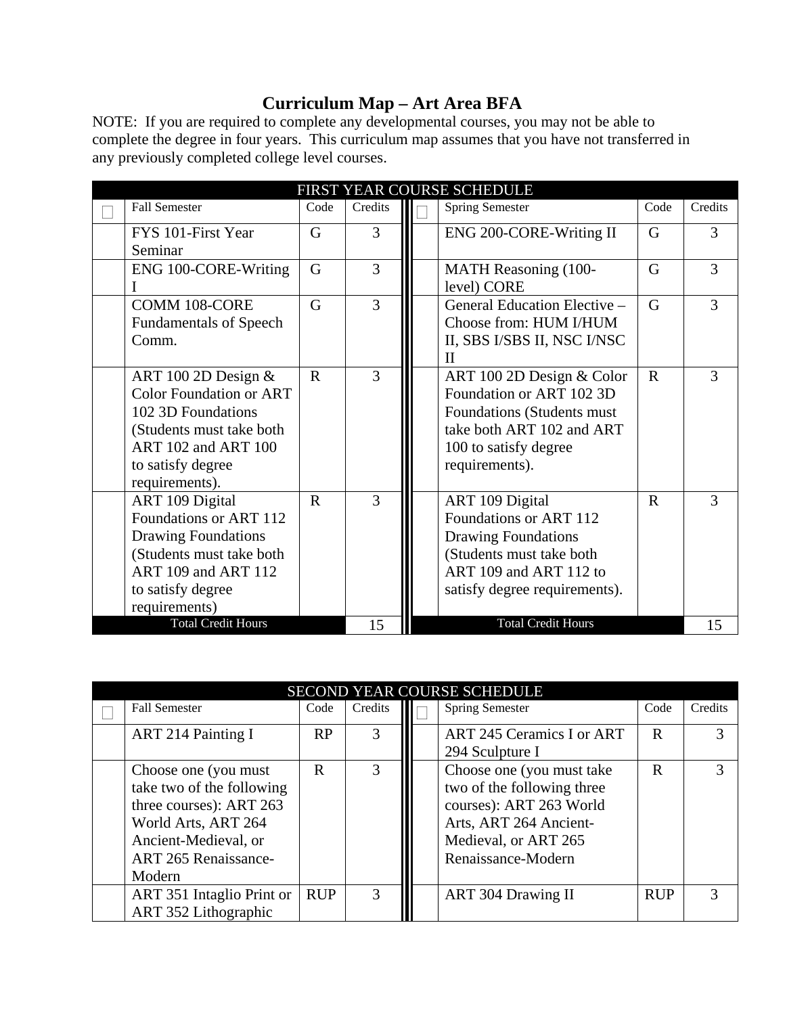## **Curriculum Map – Art Area BFA**

NOTE: If you are required to complete any developmental courses, you may not be able to complete the degree in four years. This curriculum map assumes that you have not transferred in any previously completed college level courses.

| FIRST YEAR COURSE SCHEDULE |                                                                                                                                                                         |             |               |  |                                                                                                                                                             |                |         |  |
|----------------------------|-------------------------------------------------------------------------------------------------------------------------------------------------------------------------|-------------|---------------|--|-------------------------------------------------------------------------------------------------------------------------------------------------------------|----------------|---------|--|
|                            | <b>Fall Semester</b>                                                                                                                                                    | Code        | Credits       |  | Spring Semester                                                                                                                                             | Code           | Credits |  |
|                            | FYS 101-First Year<br>Seminar                                                                                                                                           | G           | 3             |  | ENG 200-CORE-Writing II                                                                                                                                     | G              | 3       |  |
|                            | ENG 100-CORE-Writing                                                                                                                                                    | G           | 3             |  | <b>MATH Reasoning (100-</b><br>level) CORE                                                                                                                  | G              | 3       |  |
|                            | <b>COMM 108-CORE</b><br><b>Fundamentals of Speech</b><br>Comm.                                                                                                          | G           | 3             |  | General Education Elective -<br>Choose from: HUM I/HUM<br>II, SBS I/SBS II, NSC I/NSC<br>$_{\rm II}$                                                        | $\overline{G}$ | 3       |  |
|                            | ART 100 2D Design $&$<br><b>Color Foundation or ART</b><br>102 3D Foundations<br>(Students must take both<br>ART 102 and ART 100<br>to satisfy degree<br>requirements). | $\mathbf R$ | $\mathcal{E}$ |  | ART 100 2D Design & Color<br>Foundation or ART 102 3D<br>Foundations (Students must<br>take both ART 102 and ART<br>100 to satisfy degree<br>requirements). | $\mathbf R$    | 3       |  |
|                            | ART 109 Digital<br>Foundations or ART 112<br><b>Drawing Foundations</b><br>(Students must take both<br>ART 109 and ART 112<br>to satisfy degree<br>requirements)        | $\mathbf R$ | 3             |  | ART 109 Digital<br>Foundations or ART 112<br>Drawing Foundations<br>(Students must take both<br>ART 109 and ART 112 to<br>satisfy degree requirements).     | $\mathbf R$    | 3       |  |
|                            | <b>Total Credit Hours</b>                                                                                                                                               |             | 15            |  | <b>Total Credit Hours</b>                                                                                                                                   |                | 15      |  |

| SECOND YEAR COURSE SCHEDULE |                                                                                                                                                                      |            |               |  |                                                                                                                                                            |             |         |  |  |
|-----------------------------|----------------------------------------------------------------------------------------------------------------------------------------------------------------------|------------|---------------|--|------------------------------------------------------------------------------------------------------------------------------------------------------------|-------------|---------|--|--|
|                             | <b>Fall Semester</b>                                                                                                                                                 | Code       | Credits       |  | <b>Spring Semester</b>                                                                                                                                     | Code        | Credits |  |  |
|                             | <b>ART 214 Painting I</b>                                                                                                                                            | RP         |               |  | <b>ART 245 Ceramics I or ART</b><br>294 Sculpture I                                                                                                        | $\mathbf R$ |         |  |  |
|                             | Choose one (you must<br>take two of the following<br>three courses): ART 263<br>World Arts, ART 264<br>Ancient-Medieval, or<br><b>ART 265 Renaissance-</b><br>Modern | R          |               |  | Choose one (you must take<br>two of the following three<br>courses): ART 263 World<br>Arts, ART 264 Ancient-<br>Medieval, or ART 265<br>Renaissance-Modern | $\mathbf R$ |         |  |  |
|                             | ART 351 Intaglio Print or<br>ART 352 Lithographic                                                                                                                    | <b>RUP</b> | $\mathcal{R}$ |  | <b>ART 304 Drawing II</b>                                                                                                                                  | <b>RUP</b>  | 3       |  |  |